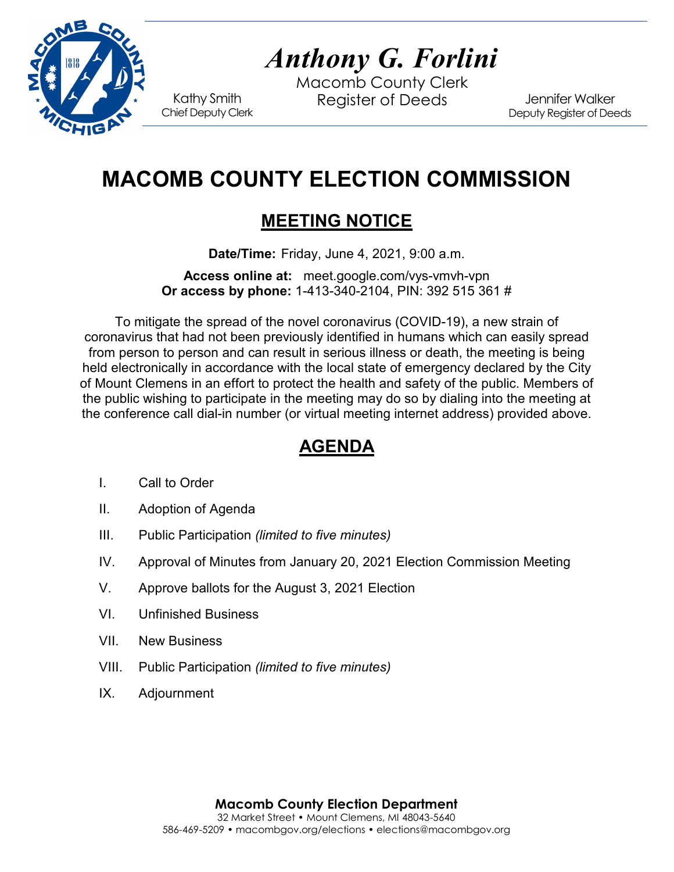

# *Anthony G. Forlini*

Macomb County Clerk Kathy Smith Register of Deeds<br>Chief Deputy Clerk

Jennifer Walker Deputy Register of Deeds

# **MACOMB COUNTY ELECTION COMMISSION**

# **MEETING NOTICE**

**Date/Time:** Friday, June 4, 2021, 9:00 a.m.

**Access online at:** meet.google.com/vys-vmvh-vpn **Or access by phone:** 1-413-340-2104, PIN: 392 515 361 #

To mitigate the spread of the novel coronavirus (COVID-19), a new strain of coronavirus that had not been previously identified in humans which can easily spread from person to person and can result in serious illness or death, the meeting is being held electronically in accordance with the local state of emergency declared by the City of Mount Clemens in an effort to protect the health and safety of the public. Members of the public wishing to participate in the meeting may do so by dialing into the meeting at the conference call dial-in number (or virtual meeting internet address) provided above.

## **AGENDA**

- I. Call to Order
- II. Adoption of Agenda
- III. Public Participation *(limited to five minutes)*
- IV. Approval of Minutes from January 20, 2021 Election Commission Meeting
- V. Approve ballots for the August 3, 2021 Election
- VI. Unfinished Business
- VII. New Business
- VIII. Public Participation *(limited to five minutes)*
- IX. Adjournment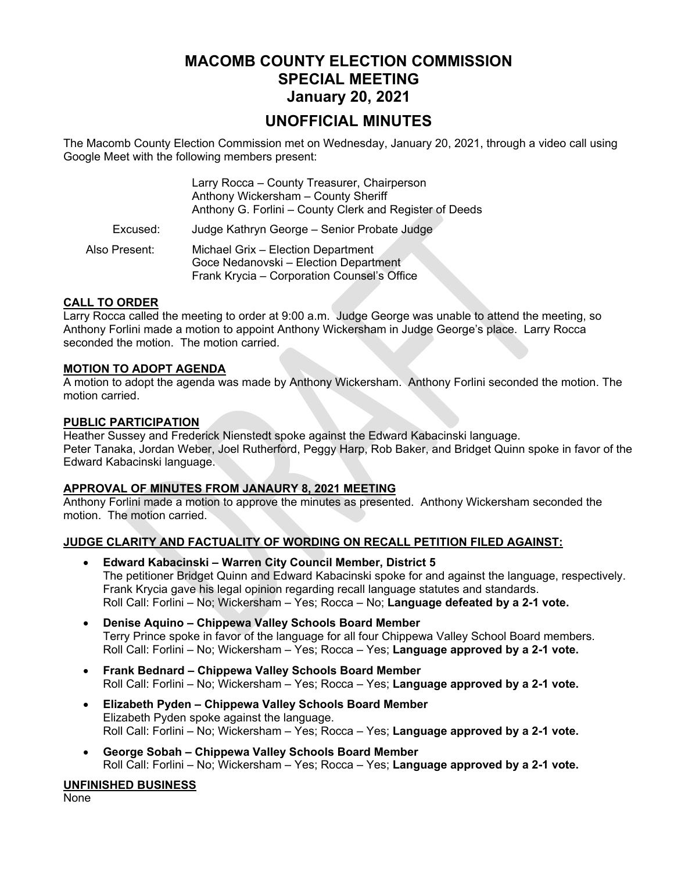### **MACOMB COUNTY ELECTION COMMISSION SPECIAL MEETING January 20, 2021**

### **UNOFFICIAL MINUTES**

The Macomb County Election Commission met on Wednesday, January 20, 2021, through a video call using Google Meet with the following members present:

|               | Larry Rocca - County Treasurer, Chairperson<br>Anthony Wickersham - County Sheriff<br>Anthony G. Forlini - County Clerk and Register of Deeds |
|---------------|-----------------------------------------------------------------------------------------------------------------------------------------------|
| Excused:      | Judge Kathryn George - Senior Probate Judge                                                                                                   |
| Also Present: | Michael Grix - Election Department<br>Goce Nedanovski - Election Department<br>Frank Krycia - Corporation Counsel's Office                    |

#### **CALL TO ORDER**

Larry Rocca called the meeting to order at 9:00 a.m. Judge George was unable to attend the meeting, so Anthony Forlini made a motion to appoint Anthony Wickersham in Judge George's place. Larry Rocca seconded the motion. The motion carried.

#### **MOTION TO ADOPT AGENDA**

A motion to adopt the agenda was made by Anthony Wickersham. Anthony Forlini seconded the motion. The motion carried.

#### **PUBLIC PARTICIPATION**

Heather Sussey and Frederick Nienstedt spoke against the Edward Kabacinski language. Peter Tanaka, Jordan Weber, Joel Rutherford, Peggy Harp, Rob Baker, and Bridget Quinn spoke in favor of the Edward Kabacinski language.

#### **APPROVAL OF MINUTES FROM JANAURY 8, 2021 MEETING**

Anthony Forlini made a motion to approve the minutes as presented. Anthony Wickersham seconded the motion. The motion carried.

#### **JUDGE CLARITY AND FACTUALITY OF WORDING ON RECALL PETITION FILED AGAINST:**

- **Edward Kabacinski Warren City Council Member, District 5** The petitioner Bridget Quinn and Edward Kabacinski spoke for and against the language, respectively. Frank Krycia gave his legal opinion regarding recall language statutes and standards. Roll Call: Forlini – No; Wickersham – Yes; Rocca – No; **Language defeated by a 2-1 vote.**
- **Denise Aquino Chippewa Valley Schools Board Member** Terry Prince spoke in favor of the language for all four Chippewa Valley School Board members. Roll Call: Forlini – No; Wickersham – Yes; Rocca – Yes; **Language approved by a 2-1 vote.**
- **Frank Bednard Chippewa Valley Schools Board Member** Roll Call: Forlini – No; Wickersham – Yes; Rocca – Yes; **Language approved by a 2-1 vote.**
- **Elizabeth Pyden Chippewa Valley Schools Board Member** Elizabeth Pyden spoke against the language. Roll Call: Forlini – No; Wickersham – Yes; Rocca – Yes; **Language approved by a 2-1 vote.**
- **George Sobah Chippewa Valley Schools Board Member** Roll Call: Forlini – No; Wickersham – Yes; Rocca – Yes; **Language approved by a 2-1 vote.**

#### **UNFINISHED BUSINESS**

None